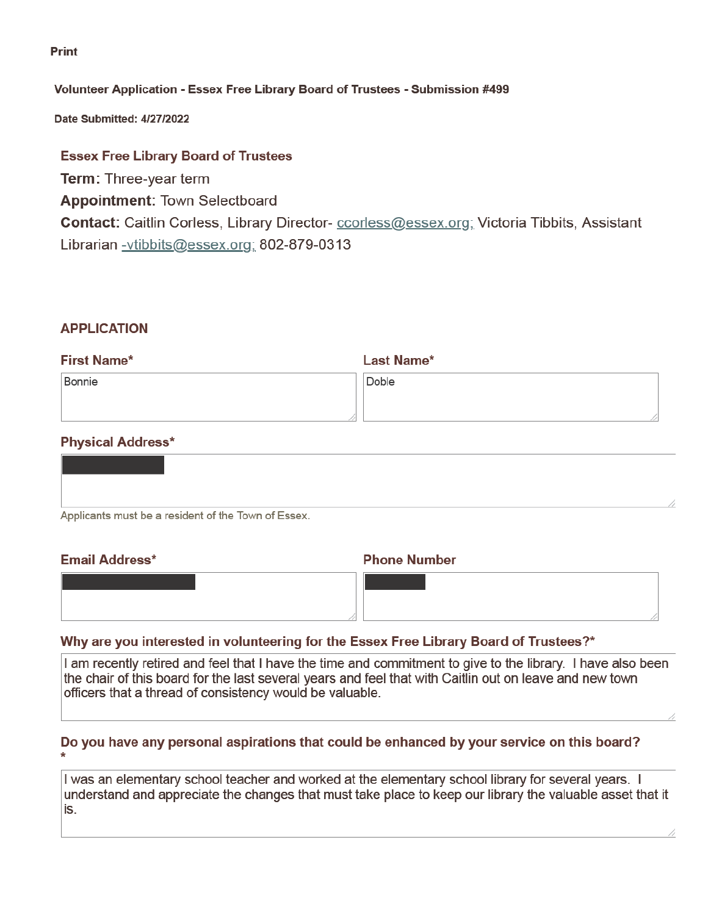#### **Print**

### Volunteer Application - Essex Free Library Board of Trustees - Submission #499

Date Submitted: 4/27/2022

## **Essex Free Library Board of Trustees**

**Term: Three-year term Appointment: Town Selectboard** Contact: Caitlin Corless, Library Director- ccorless@essex.org; Victoria Tibbits, Assistant Librarian -vtibbits@essex.org; 802-879-0313

# **APPLICATION**

| <b>First Name*</b> | <b>Last Name*</b> |
|--------------------|-------------------|
| Bonnie             | Doble             |
|                    |                   |

# **Physical Address\***

| Applicants must be a resident of the Town of Essex. |  |
|-----------------------------------------------------|--|

#### **Email Address\***

#### **Phone Number**

| טטטווויים וואווויי | $\sim$ $\sim$ $\sim$ $\sim$ $\sim$ $\sim$ $\sim$ $\sim$ |
|--------------------|---------------------------------------------------------|
|                    |                                                         |
|                    |                                                         |
|                    |                                                         |
|                    |                                                         |
|                    |                                                         |

# Why are you interested in volunteering for the Essex Free Library Board of Trustees?\*

I am recently retired and feel that I have the time and commitment to give to the library. I have also been the chair of this board for the last several years and feel that with Caitlin out on leave and new town officers that a thread of consistency would be valuable.

# Do you have any personal aspirations that could be enhanced by your service on this board?

I was an elementary school teacher and worked at the elementary school library for several years. I understand and appreciate the changes that must take place to keep our library the valuable asset that it is.